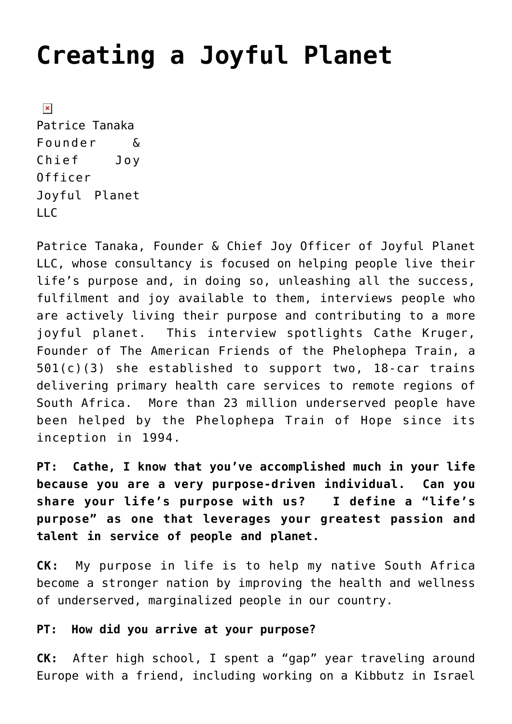# **[Creating a Joyful Planet](https://www.commpro.biz/creating-a-joyful-planet/)**

 $\pmb{\times}$ Patrice Tanaka Founder & Chief Joy Officer Joyful Planet LLC

[Patrice Tanaka,](https://www.linkedin.com/profile/view?id=AAIAAACrBoABK9wJzRXitNBivO8Q-SFn_D0vz78&trk=nav_responsive_tab_profile_pic) Founder & Chief Joy Officer of Joyful Planet LLC, whose consultancy is focused on helping people live their life's purpose and, in doing so, unleashing all the success, fulfilment and joy available to them, interviews people who are actively living their purpose and contributing to a more joyful planet. This interview spotlights [Cathe Kruger,](https://www.linkedin.com/profile/view?id=AAkAAAFM_akBlVdcOJazMa_pi5PyYhecAyyF2jk&authType=NAME_SEARCH&authToken=AdlR&locale=en_US&trk=tyah&trkInfo=clickedVertical%3Amynetwork%2CclickedEntityId%3A21822889%2CauthType%3ANAME_SEARCH%2Cidx%3A1-1-1%2CtarId%3A1448035738541%2Ctas%3ACathe%20Kruger) Founder of [The American Friends of the Phelophepa Train](https://www.trainofhope.org/who-we-are/vision-afpt/), a 501(c)(3) she established to support two, 18-car trains delivering primary health care services to remote regions of South Africa. More than 23 million underserved people have been helped by the Phelophepa Train of Hope since its inception in 1994.

**PT: Cathe, I know that you've accomplished much in your life because you are a very purpose-driven individual. Can you share your life's purpose with us? I define a "life's purpose" as one that leverages your greatest passion and talent in service of people and planet.**

**CK:** My purpose in life is to help my native South Africa become a stronger nation by improving the health and wellness of underserved, marginalized people in our country.

#### **PT: How did you arrive at your purpose?**

**CK:** After high school, I spent a "gap" year traveling around Europe with a friend, including working on a Kibbutz in Israel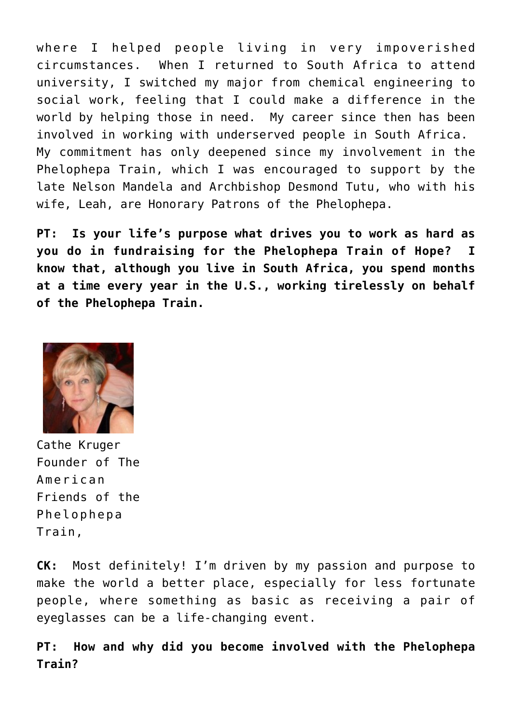where I helped people living in very impoverished circumstances. When I returned to South Africa to attend university, I switched my major from chemical engineering to social work, feeling that I could make a difference in the world by helping those in need. My career since then has been involved in working with underserved people in South Africa. My commitment has only deepened since my involvement in the Phelophepa Train, which I was encouraged to support by the late Nelson Mandela and [Archbishop Desmond Tutu, who with his](https://www.trainofhope.org/who-we-are/patrons-of-the-phelophepa-train/) [wife, Leah, are Honorary Patrons of the Phelophepa.](https://www.trainofhope.org/who-we-are/patrons-of-the-phelophepa-train/)

**PT: Is your life's purpose what drives you to work as hard as you do in fundraising for the Phelophepa Train of Hope? I know that, although you live in South Africa, you spend months at a time every year in the U.S., working tirelessly on behalf of the Phelophepa Train.**



Cathe Kruger Founder of The American Friends of the Phelophepa Train,

**CK:** Most definitely! I'm driven by my passion and purpose to make the world a better place, especially for less fortunate people, where something as basic as receiving a pair of eyeglasses can be a life-changing event.

**PT: How and why did you become involved with the Phelophepa Train?**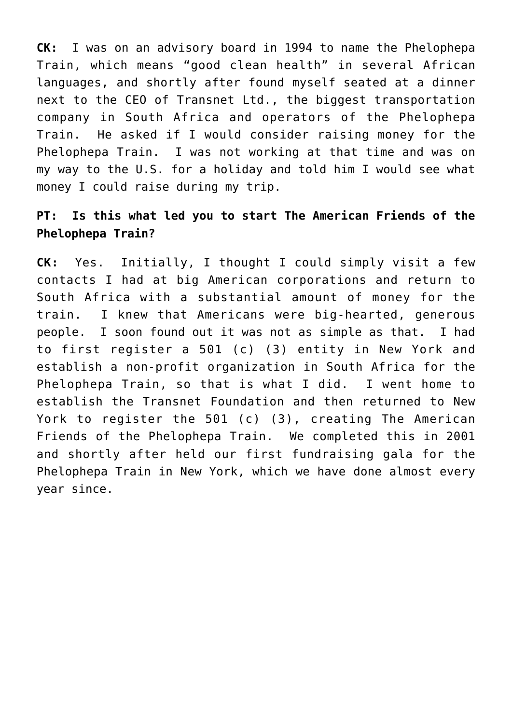**CK:** I was on an advisory board in 1994 to name the Phelophepa Train, which means "good clean health" in several African languages, and shortly after found myself seated at a dinner next to the CEO of Transnet Ltd., the biggest transportation company in South Africa and operators of the Phelophepa Train. He asked if I would consider raising money for the Phelophepa Train. I was not working at that time and was on my way to the U.S. for a holiday and told him I would see what money I could raise during my trip.

#### **PT: Is this what led you to start The American Friends of the Phelophepa Train?**

**CK:** Yes.Initially, I thought I could simply visit a few contacts I had at big American corporations and return to South Africa with a substantial amount of money for the train. I knew that Americans were big-hearted, generous people. I soon found out it was not as simple as that. I had to first register a 501 (c) (3) entity in New York and establish a non-profit organization in South Africa for the Phelophepa Train, so that is what I did. I went home to establish the Transnet Foundation and then returned to New York to register the 501 (c) (3), creating The American Friends of the Phelophepa Train. We completed this in 2001 and shortly after held our first fundraising gala for the Phelophepa Train in New York, which we have done almost every year since.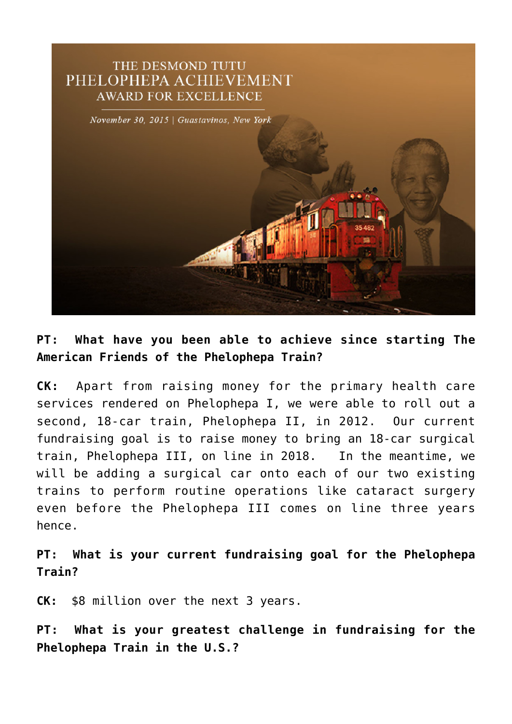

## **PT: What have you been able to achieve since starting The American Friends of the Phelophepa Train?**

**CK:** Apart from raising money for the primary health care services rendered on Phelophepa I, we were able to roll out a second, 18-car train, Phelophepa II, in 2012. Our current fundraising goal is to raise money to bring an 18-car surgical train, Phelophepa III, on line in 2018. In the meantime, we will be adding a surgical car onto each of our two existing trains to perform routine operations like cataract surgery even before the Phelophepa III comes on line three years hence.

**PT: What is your current fundraising goal for the Phelophepa Train?**

**CK:** \$8 million over the next 3 years.

**PT: What is your greatest challenge in fundraising for the Phelophepa Train in the U.S.?**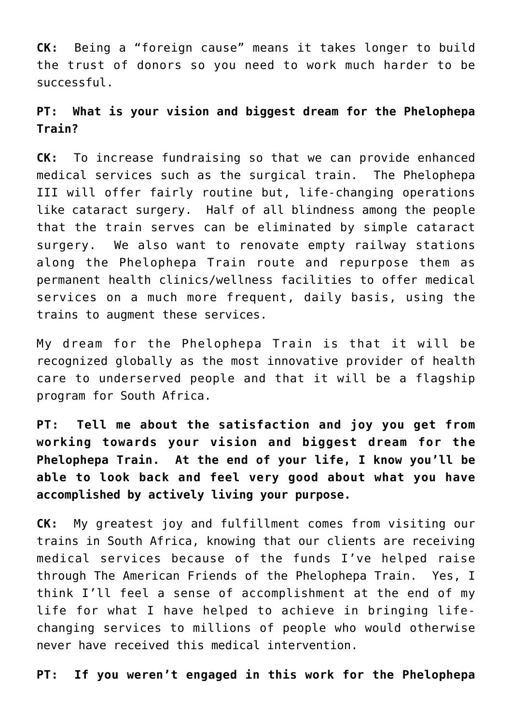**CK:** Being a "foreign cause" means it takes longer to build the trust of donors so you need to work much harder to be successful.

## **PT: What is your vision and biggest dream for the Phelophepa Train?**

**CK:** To increase fundraising so that we can provide enhanced medical services such as the surgical train. The Phelophepa III will offer fairly routine but, life-changing operations like cataract surgery. Half of all blindness among the people that the train serves can be eliminated by simple cataract surgery. We also want to renovate empty railway stations along the Phelophepa Train route and repurpose them as permanent health clinics/wellness facilities to offer medical services on a much more frequent, daily basis, using the trains to augment these services.

My dream for the Phelophepa Train is that it will be recognized globally as the most innovative provider of health care to underserved people and that it will be a flagship program for South Africa.

**PT: Tell me about the satisfaction and joy you get from working towards your vision and biggest dream for the Phelophepa Train. At the end of your life, I know you'll be able to look back and feel very good about what you have accomplished by actively living your purpose.**

**CK:** My greatest joy and fulfillment comes from visiting our trains in South Africa, knowing that our clients are receiving medical services because of the funds I've helped raise through The American Friends of the Phelophepa Train. Yes, I think I'll feel a sense of accomplishment at the end of my life for what I have helped to achieve in bringing lifechanging services to millions of people who would otherwise never have received this medical intervention.

**PT: If you weren't engaged in this work for the Phelophepa**